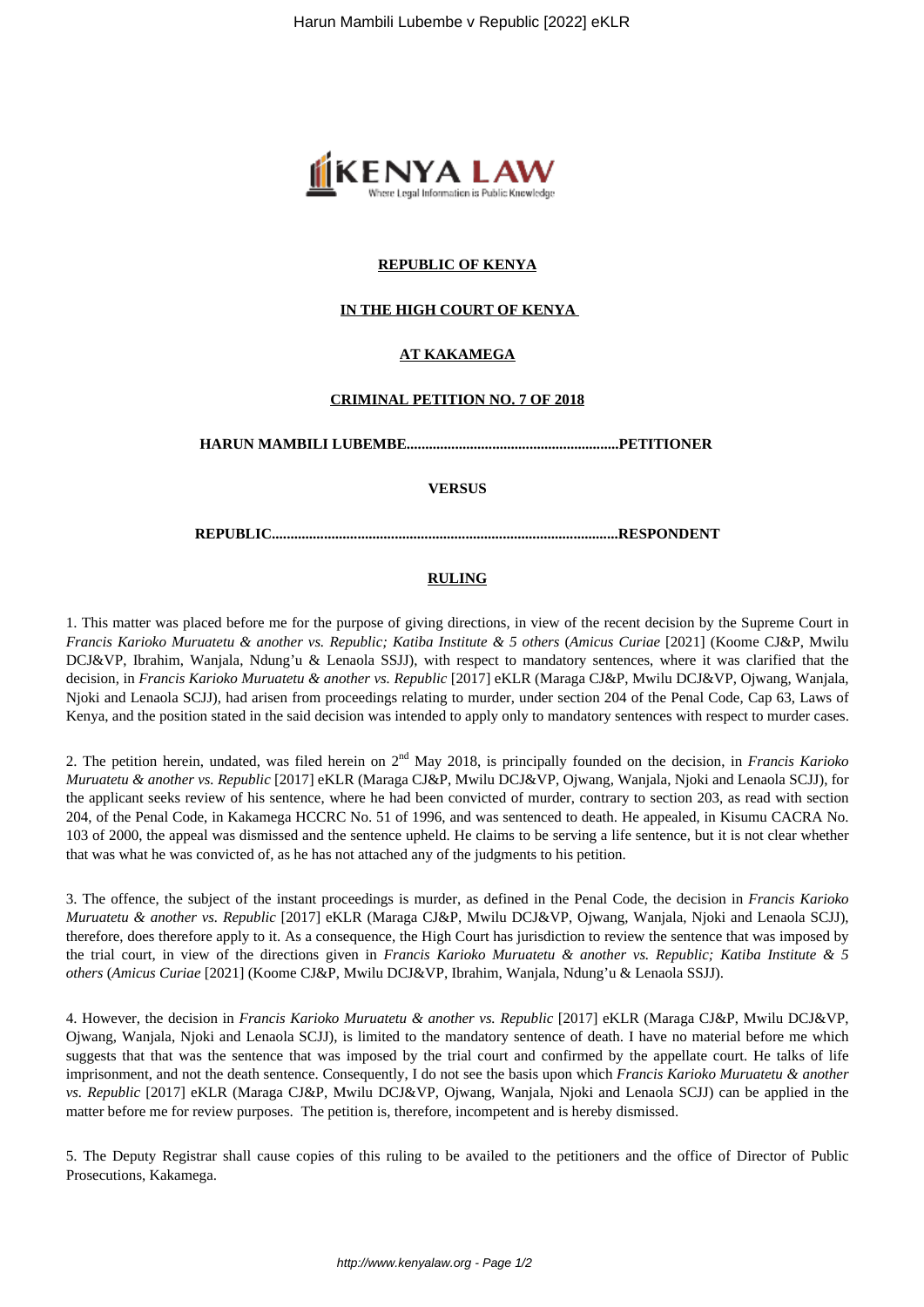

## **REPUBLIC OF KENYA**

## **IN THE HIGH COURT OF KENYA**

## **AT KAKAMEGA**

#### **CRIMINAL PETITION NO. 7 OF 2018**

**HARUN MAMBILI LUBEMBE.........................................................PETITIONER** 

**VERSUS**

**REPUBLIC.............................................................................................RESPONDENT**

#### **RULING**

1. This matter was placed before me for the purpose of giving directions, in view of the recent decision by the Supreme Court in *Francis Karioko Muruatetu & another vs. Republic; Katiba Institute & 5 others* (*Amicus Curiae* [2021] (Koome CJ&P, Mwilu DCJ&VP, Ibrahim, Wanjala, Ndung'u & Lenaola SSJJ), with respect to mandatory sentences, where it was clarified that the decision, in *Francis Karioko Muruatetu & another vs. Republic* [2017] eKLR (Maraga CJ&P, Mwilu DCJ&VP, Ojwang, Wanjala, Njoki and Lenaola SCJJ), had arisen from proceedings relating to murder, under section 204 of the Penal Code, Cap 63, Laws of Kenya, and the position stated in the said decision was intended to apply only to mandatory sentences with respect to murder cases.

2. The petition herein, undated, was filed herein on 2nd May 2018, is principally founded on the decision, in *Francis Karioko Muruatetu & another vs. Republic* [2017] eKLR (Maraga CJ&P, Mwilu DCJ&VP, Ojwang, Wanjala, Njoki and Lenaola SCJJ), for the applicant seeks review of his sentence, where he had been convicted of murder, contrary to section 203, as read with section 204, of the Penal Code, in Kakamega HCCRC No. 51 of 1996, and was sentenced to death. He appealed, in Kisumu CACRA No. 103 of 2000, the appeal was dismissed and the sentence upheld. He claims to be serving a life sentence, but it is not clear whether that was what he was convicted of, as he has not attached any of the judgments to his petition.

3. The offence, the subject of the instant proceedings is murder, as defined in the Penal Code, the decision in *Francis Karioko Muruatetu & another vs. Republic* [2017] eKLR (Maraga CJ&P, Mwilu DCJ&VP, Ojwang, Wanjala, Njoki and Lenaola SCJJ), therefore, does therefore apply to it. As a consequence, the High Court has jurisdiction to review the sentence that was imposed by the trial court, in view of the directions given in *Francis Karioko Muruatetu & another vs. Republic; Katiba Institute & 5 others* (*Amicus Curiae* [2021] (Koome CJ&P, Mwilu DCJ&VP, Ibrahim, Wanjala, Ndung'u & Lenaola SSJJ).

4. However, the decision in *Francis Karioko Muruatetu & another vs. Republic* [2017] eKLR (Maraga CJ&P, Mwilu DCJ&VP, Ojwang, Wanjala, Njoki and Lenaola SCJJ), is limited to the mandatory sentence of death. I have no material before me which suggests that that was the sentence that was imposed by the trial court and confirmed by the appellate court. He talks of life imprisonment, and not the death sentence. Consequently, I do not see the basis upon which *Francis Karioko Muruatetu & another vs. Republic* [2017] eKLR (Maraga CJ&P, Mwilu DCJ&VP, Ojwang, Wanjala, Njoki and Lenaola SCJJ) can be applied in the matter before me for review purposes. The petition is, therefore, incompetent and is hereby dismissed.

5. The Deputy Registrar shall cause copies of this ruling to be availed to the petitioners and the office of Director of Public Prosecutions, Kakamega.